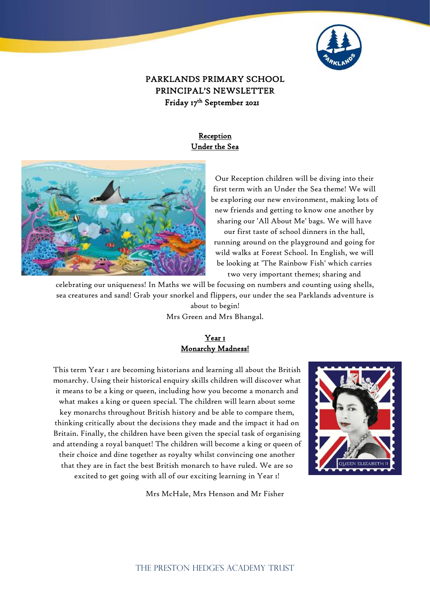

# PARKLANDS PRIMARY SCHOOL PRINCIPAL'S NEWSLETTER Friday 17th September 2021

## **Reception** Under the Sea



Our Reception children will be diving into their first term with an Under the Sea theme! We will be exploring our new environment, making lots of new friends and getting to know one another by sharing our 'All About Me' bags. We will have our first taste of school dinners in the hall, running around on the playground and going for wild walks at Forest School. In English, we will be looking at 'The Rainbow Fish' which carries two very important themes; sharing and

celebrating our uniqueness! In Maths we will be focusing on numbers and counting using shells, sea creatures and sand! Grab your snorkel and flippers, our under the sea Parklands adventure is about to begin! Mrs Green and Mrs Bhangal.

## Year<sub>1</sub> Monarchy Madness!

This term Year 1 are becoming historians and learning all about the British monarchy. Using their historical enquiry skills children will discover what it means to be a king or queen, including how you become a monarch and what makes a king or queen special. The children will learn about some key monarchs throughout British history and be able to compare them, thinking critically about the decisions they made and the impact it had on Britain. Finally, the children have been given the special task of organising and attending a royal banquet! The children will become a king or queen of their choice and dine together as royalty whilst convincing one another that they are in fact the best British monarch to have ruled. We are so excited to get going with all of our exciting learning in Year 1!



Mrs McHale, Mrs Henson and Mr Fisher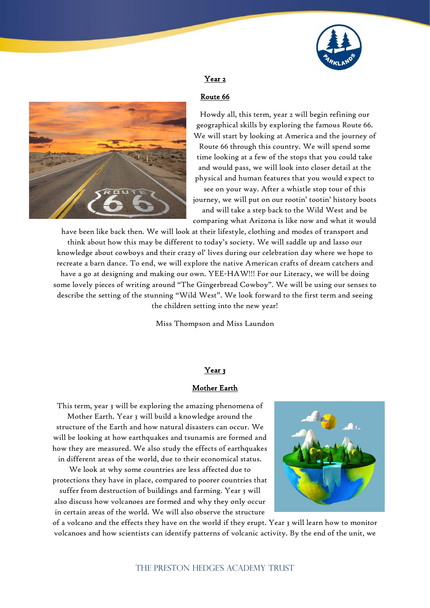



## Year 2

#### Route 66

Howdy all, this term, year 2 will begin refining our geographical skills by exploring the famous Route 66. We will start by looking at America and the journey of Route 66 through this country. We will spend some time looking at a few of the stops that you could take and would pass, we will look into closer detail at the physical and human features that you would expect to see on your way. After a whistle stop tour of this

journey, we will put on our rootin' tootin' history boots and will take a step back to the Wild West and be comparing what Arizona is like now and what it would

have been like back then. We will look at their lifestyle, clothing and modes of transport and think about how this may be different to today's society. We will saddle up and lasso our knowledge about cowboys and their crazy ol' lives during our celebration day where we hope to recreate a barn dance. To end, we will explore the native American crafts of dream catchers and have a go at designing and making our own. YEE-HAW!!! For our Literacy, we will be doing some lovely pieces of writing around "The Gingerbread Cowboy". We will be using our senses to describe the setting of the stunning "Wild West". We look forward to the first term and seeing the children setting into the new year!

Miss Thompson and Miss Laundon

#### Year 3

### Mother Earth

This term, year 3 will be exploring the amazing phenomena of Mother Earth. Year 3 will build a knowledge around the structure of the Earth and how natural disasters can occur. We will be looking at how earthquakes and tsunamis are formed and how they are measured. We also study the effects of earthquakes in different areas of the world, due to their economical status.

We look at why some countries are less affected due to protections they have in place, compared to poorer countries that

suffer from destruction of buildings and farming. Year 3 will also discuss how volcanoes are formed and why they only occur in certain areas of the world. We will also observe the structure



of a volcano and the effects they have on the world if they erupt. Year 3 will learn how to monitor volcanoes and how scientists can identify patterns of volcanic activity. By the end of the unit, we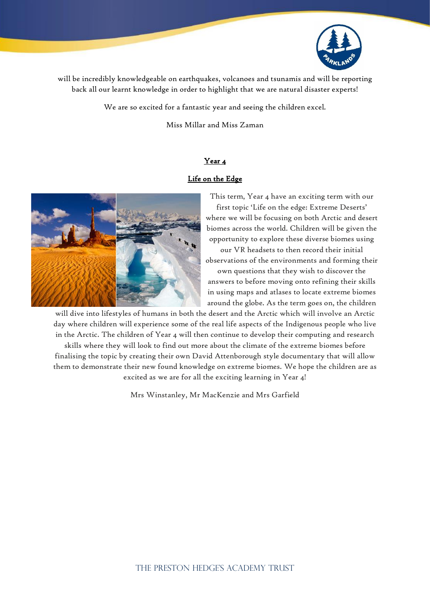

will be incredibly knowledgeable on earthquakes, volcanoes and tsunamis and will be reporting back all our learnt knowledge in order to highlight that we are natural disaster experts!

We are so excited for a fantastic year and seeing the children excel.

Miss Millar and Miss Zaman

#### Year 4

### Life on the Edge



This term, Year 4 have an exciting term with our first topic 'Life on the edge: Extreme Deserts' where we will be focusing on both Arctic and desert biomes across the world. Children will be given the opportunity to explore these diverse biomes using

our VR headsets to then record their initial observations of the environments and forming their

own questions that they wish to discover the answers to before moving onto refining their skills in using maps and atlases to locate extreme biomes around the globe. As the term goes on, the children

will dive into lifestyles of humans in both the desert and the Arctic which will involve an Arctic day where children will experience some of the real life aspects of the Indigenous people who live in the Arctic. The children of Year 4 will then continue to develop their computing and research skills where they will look to find out more about the climate of the extreme biomes before finalising the topic by creating their own David Attenborough style documentary that will allow them to demonstrate their new found knowledge on extreme biomes. We hope the children are as excited as we are for all the exciting learning in Year 4!

Mrs Winstanley, Mr MacKenzie and Mrs Garfield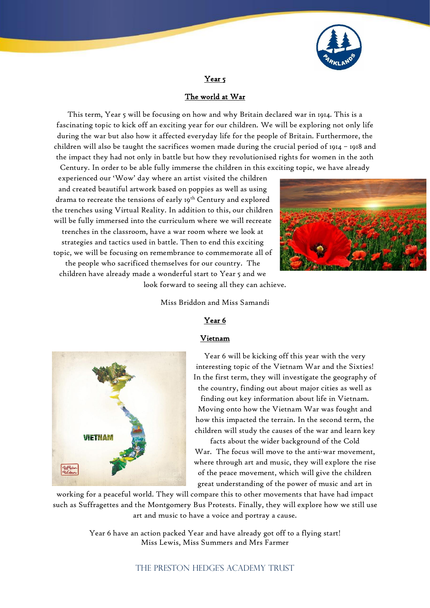

Year<sub>5</sub>

## The world at War

This term, Year 5 will be focusing on how and why Britain declared war in 1914. This is a fascinating topic to kick off an exciting year for our children. We will be exploring not only life during the war but also how it affected everyday life for the people of Britain. Furthermore, the children will also be taught the sacrifices women made during the crucial period of 1914 – 1918 and the impact they had not only in battle but how they revolutionised rights for women in the 20th Century. In order to be able fully immerse the children in this exciting topic, we have already

experienced our 'Wow' day where an artist visited the children and created beautiful artwork based on poppies as well as using drama to recreate the tensions of early 19th Century and explored the trenches using Virtual Reality. In addition to this, our children will be fully immersed into the curriculum where we will recreate trenches in the classroom, have a war room where we look at strategies and tactics used in battle. Then to end this exciting topic, we will be focusing on remembrance to commemorate all of the people who sacrificed themselves for our country. The children have already made a wonderful start to Year 5 and we



look forward to seeing all they can achieve.

Miss Briddon and Miss Samandi

### Year 6

#### Vietnam



Year 6 will be kicking off this year with the very interesting topic of the Vietnam War and the Sixties! In the first term, they will investigate the geography of the country, finding out about major cities as well as

finding out key information about life in Vietnam. Moving onto how the Vietnam War was fought and how this impacted the terrain. In the second term, the children will study the causes of the war and learn key

facts about the wider background of the Cold War. The focus will move to the anti-war movement, where through art and music, they will explore the rise of the peace movement, which will give the children great understanding of the power of music and art in

working for a peaceful world. They will compare this to other movements that have had impact such as Suffragettes and the Montgomery Bus Protests. Finally, they will explore how we still use art and music to have a voice and portray a cause.

> Year 6 have an action packed Year and have already got off to a flying start! Miss Lewis, Miss Summers and Mrs Farmer

> > THE PRESTON HEDGE'S ACADEMY TRUST